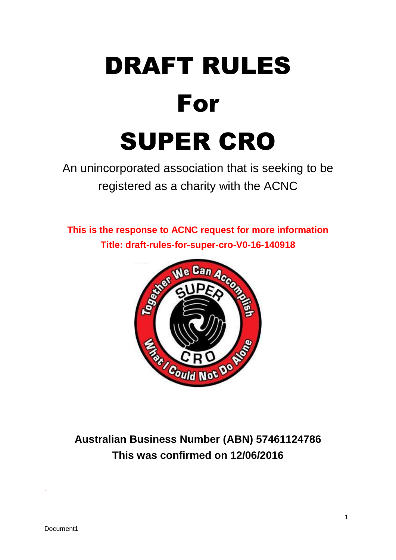

An unincorporated association that is seeking to be registered as a charity with the ACNC

**This is the response to ACNC request for more information Title: draft-rules-for-super-cro-V0-16-140918** 



**Australian Business Number (ABN) 57461124786 This was confirmed on 12/06/2016**

*.*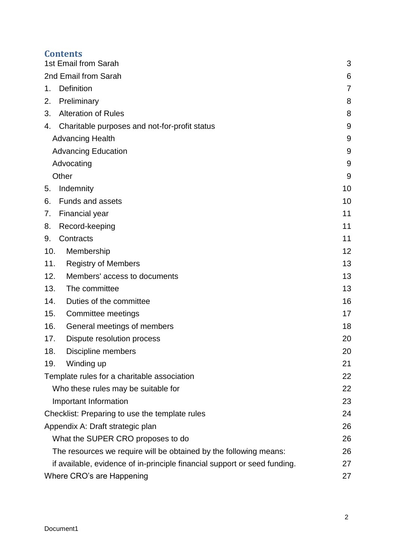### **Contents**

| 1st Email from Sarah                                                      | 3  |
|---------------------------------------------------------------------------|----|
| 2nd Email from Sarah                                                      | 6  |
| <b>Definition</b><br>1.                                                   | 7  |
| Preliminary<br>2.                                                         | 8  |
| <b>Alteration of Rules</b><br>3.                                          | 8  |
| Charitable purposes and not-for-profit status<br>4.                       | 9  |
| <b>Advancing Health</b>                                                   | 9  |
| <b>Advancing Education</b>                                                | 9  |
| Advocating                                                                | 9  |
| Other                                                                     | 9  |
| Indemnity<br>5.                                                           | 10 |
| Funds and assets<br>6.                                                    | 10 |
| <b>Financial year</b><br>7.                                               | 11 |
| Record-keeping<br>8.                                                      | 11 |
| Contracts<br>9.                                                           | 11 |
| Membership<br>10.                                                         | 12 |
| 11.<br><b>Registry of Members</b>                                         | 13 |
| 12.<br>Members' access to documents                                       | 13 |
| 13.<br>The committee                                                      | 13 |
| Duties of the committee<br>14.                                            | 16 |
| 15.<br>Committee meetings                                                 | 17 |
| 16.<br>General meetings of members                                        | 18 |
| 17.<br>Dispute resolution process                                         | 20 |
| 18.<br>Discipline members                                                 | 20 |
| Winding up<br>19.                                                         | 21 |
| Template rules for a charitable association                               | 22 |
| Who these rules may be suitable for                                       | 22 |
| Important Information                                                     | 23 |
| Checklist: Preparing to use the template rules                            | 24 |
| Appendix A: Draft strategic plan                                          | 26 |
| What the SUPER CRO proposes to do                                         | 26 |
| The resources we require will be obtained by the following means:         | 26 |
| if available, evidence of in-principle financial support or seed funding. | 27 |
| Where CRO's are Happening                                                 | 27 |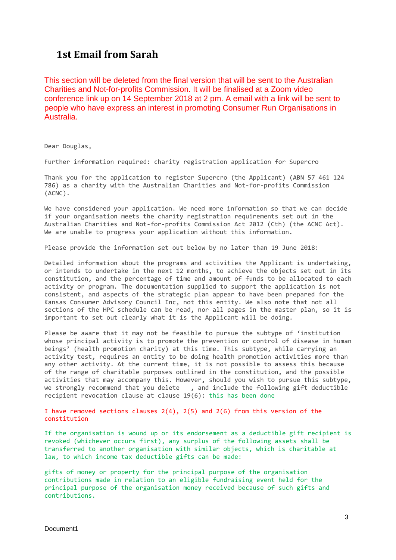### <span id="page-2-0"></span>**1st Email from Sarah**

This section will be deleted from the final version that will be sent to the Australian Charities and Not-for-profits Commission. It will be finalised at a Zoom video conference link up on 14 September 2018 at 2 pm. A email with a link will be sent to people who have express an interest in promoting Consumer Run Organisations in Australia.

Dear Douglas,

Further information required: charity registration application for Supercro

Thank you for the application to register Supercro (the Applicant) (ABN 57 461 124 786) as a charity with the Australian Charities and Not-for-profits Commission (ACNC).

We have considered your application. We need more information so that we can decide if your organisation meets the charity registration requirements set out in the Australian Charities and Not-for-profits Commission Act 2012 (Cth) (the ACNC Act). We are unable to progress your application without this information.

Please provide the information set out below by no later than 19 June 2018:

Detailed information about the programs and activities the Applicant is undertaking, or intends to undertake in the next 12 months, to achieve the objects set out in its constitution, and the percentage of time and amount of funds to be allocated to each activity or program. The documentation supplied to support the application is not consistent, and aspects of the strategic plan appear to have been prepared for the Kansas Consumer Advisory Council Inc, not this entity. We also note that not all sections of the HPC schedule can be read, nor all pages in the master plan, so it is important to set out clearly what it is the Applicant will be doing.

Please be aware that it may not be feasible to pursue the subtype of 'institution whose principal activity is to promote the prevention or control of disease in human beings' (health promotion charity) at this time. This subtype, while carrying an activity test, requires an entity to be doing health promotion activities more than any other activity. At the current time, it is not possible to assess this because of the range of charitable purposes outlined in the constitution, and the possible activities that may accompany this. However, should you wish to pursue this subtype, we strongly recommend that you delete, and include the following gift deductible recipient revocation clause at clause 19(6): this has been done

I have removed sections clauses  $2(4)$ ,  $2(5)$  and  $2(6)$  from this version of the constitution

If the organisation is wound up or its endorsement as a deductible gift recipient is revoked (whichever occurs first), any surplus of the following assets shall be transferred to another organisation with similar objects, which is charitable at law, to which income tax deductible gifts can be made:

gifts of money or property for the principal purpose of the organisation contributions made in relation to an eligible fundraising event held for the principal purpose of the organisation money received because of such gifts and contributions.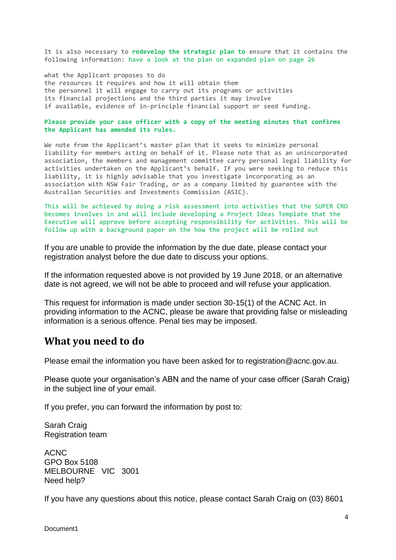It is also necessary to **redevelop the strategic plan to** ensure that it contains the following information: have a look at the plan on expanded plan on page 26

what the Applicant proposes to do the resources it requires and how it will obtain them the personnel it will engage to carry out its programs or activities its financial projections and the third parties it may involve if available, evidence of in-principle financial support or seed funding.

**Please provide your case officer with a copy of the meeting minutes that confirms the Applicant has amended its rules.**

We note from the Applicant's master plan that it seeks to minimize personal liability for members acting on behalf of it. Please note that as an unincorporated association, the members and management committee carry personal legal liability for activities undertaken on the Applicant's behalf. If you were seeking to reduce this liability, it is highly advisable that you investigate incorporating as an association with NSW Fair Trading, or as a company limited by guarantee with the Australian Securities and Investments Commission (ASIC).

This will be achieved by doing a risk assessment into activities that the SUPER CRO becomes involves in and will include developing a Project Ideas Template that the Executive will approve before accepting responsibility for activities. This will be follow up with a background paper on the how the project will be rolled out

If you are unable to provide the information by the due date, please contact your registration analyst before the due date to discuss your options.

If the information requested above is not provided by 19 June 2018, or an alternative date is not agreed, we will not be able to proceed and will refuse your application.

This request for information is made under section 30-15(1) of the ACNC Act. In providing information to the ACNC, please be aware that providing false or misleading information is a serious offence. Penal ties may be imposed.

### **What you need to do**

Please email the information you have been asked for to registration@acnc.gov.au.

Please quote your organisation's ABN and the name of your case officer (Sarah Craig) in the subject line of your email.

If you prefer, you can forward the information by post to:

Sarah Craig Registration team

ACNC GPO Box 5108 MELBOURNE VIC 3001 Need help?

If you have any questions about this notice, please contact Sarah Craig on (03) 8601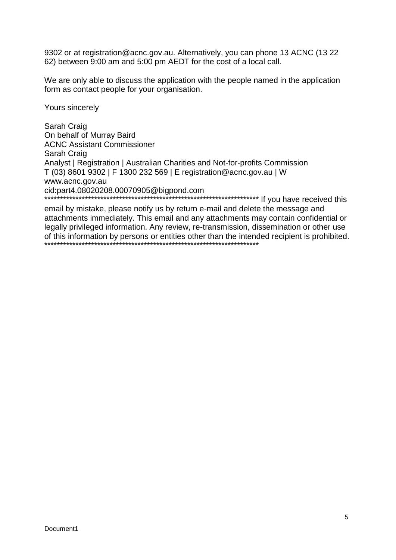9302 or at registration@acnc.gov.au. Alternatively, you can phone 13 ACNC (13 22 62) between 9:00 am and 5:00 pm AEDT for the cost of a local call.

We are only able to discuss the application with the people named in the application form as contact people for your organisation.

Yours sincerely

Sarah Craig On behalf of Murray Baird ACNC Assistant Commissioner Sarah Craig Analyst | Registration | Australian Charities and Not-for-profits Commission T (03) 8601 9302 | F 1300 232 569 | E registration@acnc.gov.au | W www.acnc.gov.au cid:part4.08020208.00070905@bigpond.com \*\*\*\*\*\*\*\*\*\*\*\*\*\*\*\*\*\*\*\*\*\*\*\*\*\*\*\*\*\*\*\*\*\*\*\*\*\*\*\*\*\*\*\*\*\*\*\*\*\*\*\*\*\*\*\*\*\*\*\*\*\*\*\*\*\*\*\*\* If you have received this

email by mistake, please notify us by return e-mail and delete the message and attachments immediately. This email and any attachments may contain confidential or legally privileged information. Any review, re-transmission, dissemination or other use of this information by persons or entities other than the intended recipient is prohibited. \*\*\*\*\*\*\*\*\*\*\*\*\*\*\*\*\*\*\*\*\*\*\*\*\*\*\*\*\*\*\*\*\*\*\*\*\*\*\*\*\*\*\*\*\*\*\*\*\*\*\*\*\*\*\*\*\*\*\*\*\*\*\*\*\*\*\*\*\*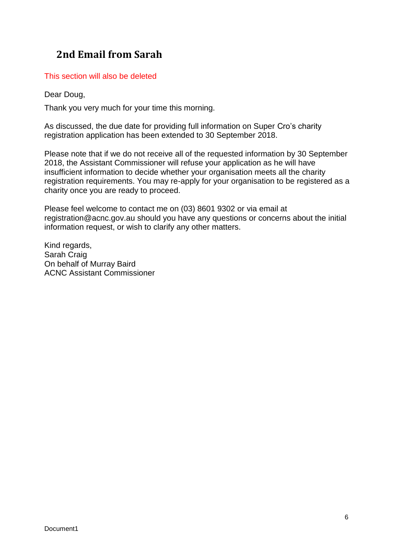# <span id="page-5-0"></span>**2nd Email from Sarah**

This section will also be deleted

Dear Doug,

Thank you very much for your time this morning.

As discussed, the due date for providing full information on Super Cro's charity registration application has been extended to 30 September 2018.

Please note that if we do not receive all of the requested information by 30 September 2018, the Assistant Commissioner will refuse your application as he will have insufficient information to decide whether your organisation meets all the charity registration requirements. You may re-apply for your organisation to be registered as a charity once you are ready to proceed.

Please feel welcome to contact me on (03) 8601 9302 or via email at registration@acnc.gov.au should you have any questions or concerns about the initial information request, or wish to clarify any other matters.

Kind regards, Sarah Craig On behalf of Murray Baird ACNC Assistant Commissioner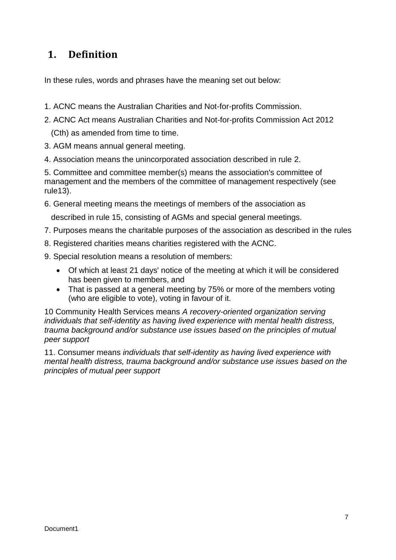# <span id="page-6-0"></span>**1. Definition**

In these rules, words and phrases have the meaning set out below:

- 1. ACNC means the Australian Charities and Not-for-profits Commission.
- 2. ACNC Act means Australian Charities and Not-for-profits Commission Act 2012 (Cth) as amended from time to time.
- 3. AGM means annual general meeting.
- 4. Association means the unincorporated association described in rule 2.

5. Committee and committee member(s) means the association's committee of management and the members of the committee of management respectively (see rule13).

6. General meeting means the meetings of members of the association as

described in rule 15, consisting of AGMs and special general meetings.

- 7. Purposes means the charitable purposes of the association as described in the rules
- 8. Registered charities means charities registered with the ACNC.
- 9. Special resolution means a resolution of members:
	- Of which at least 21 days' notice of the meeting at which it will be considered has been given to members, and
	- That is passed at a general meeting by 75% or more of the members voting (who are eligible to vote), voting in favour of it.

10 Community Health Services means *A recovery-oriented organization serving individuals that self-identity as having lived experience with mental health distress, trauma background and/or substance use issues based on the principles of mutual peer support*

11. Consumer means *individuals that self-identity as having lived experience with mental health distress, trauma background and/or substance use issues based on the principles of mutual peer support*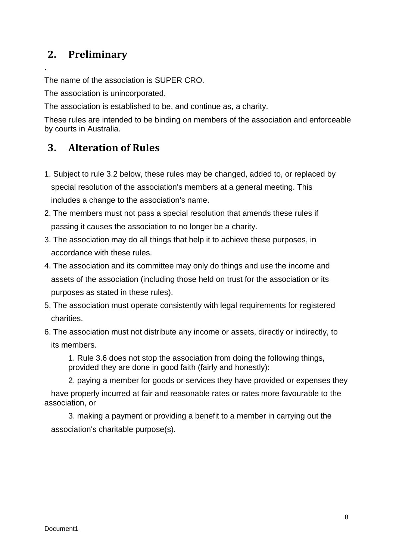# <span id="page-7-0"></span>**2. Preliminary**

.

The name of the association is SUPER CRO.

The association is unincorporated.

The association is established to be, and continue as, a charity.

These rules are intended to be binding on members of the association and enforceable by courts in Australia.

# <span id="page-7-1"></span>**3. Alteration of Rules**

- 1. Subject to rule 3.2 below, these rules may be changed, added to, or replaced by special resolution of the association's members at a general meeting. This includes a change to the association's name.
- 2. The members must not pass a special resolution that amends these rules if passing it causes the association to no longer be a charity.
- 3. The association may do all things that help it to achieve these purposes, in accordance with these rules.
- 4. The association and its committee may only do things and use the income and assets of the association (including those held on trust for the association or its purposes as stated in these rules).
- 5. The association must operate consistently with legal requirements for registered charities.
- 6. The association must not distribute any income or assets, directly or indirectly, to its members.

1. Rule 3.6 does not stop the association from doing the following things, provided they are done in good faith (fairly and honestly):

2. paying a member for goods or services they have provided or expenses they

 have properly incurred at fair and reasonable rates or rates more favourable to the association, or

3. making a payment or providing a benefit to a member in carrying out the association's charitable purpose(s).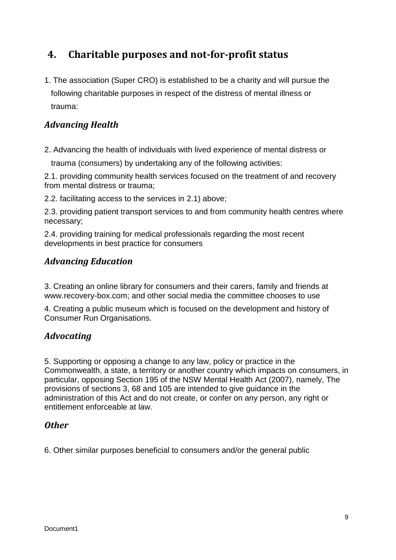# <span id="page-8-0"></span>**4. Charitable purposes and not-for-profit status**

1. The association (Super CRO) is established to be a charity and will pursue the following charitable purposes in respect of the distress of mental illness or trauma:

### <span id="page-8-1"></span>*Advancing Health*

2. Advancing the health of individuals with lived experience of mental distress or

trauma (consumers) by undertaking any of the following activities:

2.1. providing community health services focused on the treatment of and recovery from mental distress or trauma;

2.2. facilitating access to the services in 2.1) above;

2.3. providing patient transport services to and from community health centres where necessary;

2.4. providing training for medical professionals regarding the most recent developments in best practice for consumers

#### <span id="page-8-2"></span>*Advancing Education*

3. Creating an online library for consumers and their carers, family and friends at www.recovery-box.com; and other social media the committee chooses to use

4. Creating a public museum which is focused on the development and history of Consumer Run Organisations.

#### <span id="page-8-3"></span>*Advocating*

5. Supporting or opposing a change to any law, policy or practice in the Commonwealth, a state, a territory or another country which impacts on consumers, in particular, opposing Section 195 of the NSW Mental Health Act (2007), namely, The provisions of sections 3, 68 and 105 are intended to give guidance in the administration of this Act and do not create, or confer on any person, any right or entitlement enforceable at law.

#### <span id="page-8-4"></span>*Other*

6. Other similar purposes beneficial to consumers and/or the general public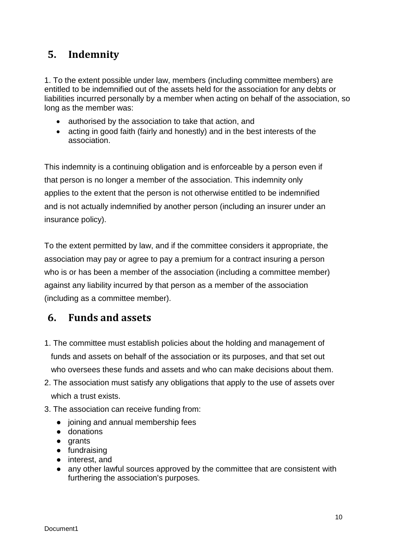# <span id="page-9-0"></span>**5. Indemnity**

1. To the extent possible under law, members (including committee members) are entitled to be indemnified out of the assets held for the association for any debts or liabilities incurred personally by a member when acting on behalf of the association, so long as the member was:

- authorised by the association to take that action, and
- acting in good faith (fairly and honestly) and in the best interests of the association.

This indemnity is a continuing obligation and is enforceable by a person even if that person is no longer a member of the association. This indemnity only applies to the extent that the person is not otherwise entitled to be indemnified and is not actually indemnified by another person (including an insurer under an insurance policy).

To the extent permitted by law, and if the committee considers it appropriate, the association may pay or agree to pay a premium for a contract insuring a person who is or has been a member of the association (including a committee member) against any liability incurred by that person as a member of the association (including as a committee member).

## <span id="page-9-1"></span>**6. Funds and assets**

- 1. The committee must establish policies about the holding and management of funds and assets on behalf of the association or its purposes, and that set out who oversees these funds and assets and who can make decisions about them.
- 2. The association must satisfy any obligations that apply to the use of assets over which a trust exists.
- 3. The association can receive funding from:
	- joining and annual membership fees
	- donations
	- grants
	- fundraising
	- interest, and
	- any other lawful sources approved by the committee that are consistent with furthering the association's purposes.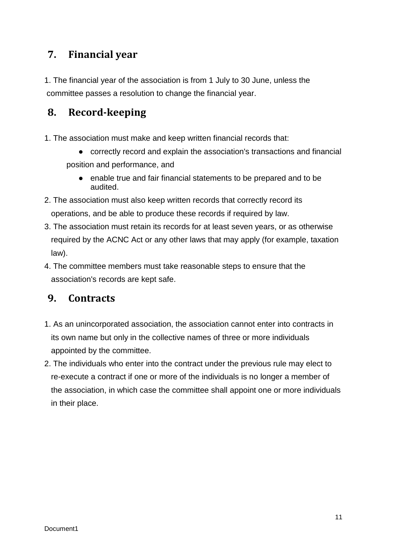# <span id="page-10-0"></span>**7. Financial year**

1. The financial year of the association is from 1 July to 30 June, unless the committee passes a resolution to change the financial year.

# <span id="page-10-1"></span>**8. Record-keeping**

- 1. The association must make and keep written financial records that:
	- correctly record and explain the association's transactions and financial position and performance, and
		- enable true and fair financial statements to be prepared and to be audited.
- 2. The association must also keep written records that correctly record its operations, and be able to produce these records if required by law.
- 3. The association must retain its records for at least seven years, or as otherwise required by the ACNC Act or any other laws that may apply (for example, taxation law).
- 4. The committee members must take reasonable steps to ensure that the association's records are kept safe.

## <span id="page-10-2"></span>**9. Contracts**

- 1. As an unincorporated association, the association cannot enter into contracts in its own name but only in the collective names of three or more individuals appointed by the committee.
- 2. The individuals who enter into the contract under the previous rule may elect to re-execute a contract if one or more of the individuals is no longer a member of the association, in which case the committee shall appoint one or more individuals in their place.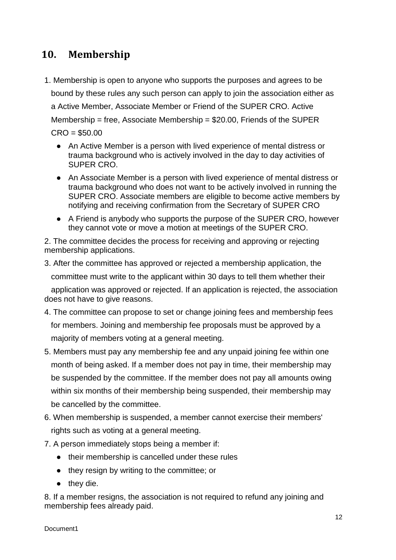# <span id="page-11-0"></span>**10. Membership**

- 1. Membership is open to anyone who supports the purposes and agrees to be bound by these rules any such person can apply to join the association either as a Active Member, Associate Member or Friend of the SUPER CRO. Active Membership = free, Associate Membership =  $$20.00$ , Friends of the SUPER  $CRO = $50.00$ 
	- An Active Member is a person with lived experience of mental distress or trauma background who is actively involved in the day to day activities of SUPER CRO.
	- An Associate Member is a person with lived experience of mental distress or trauma background who does not want to be actively involved in running the SUPER CRO. Associate members are eligible to become active members by notifying and receiving confirmation from the Secretary of SUPER CRO
	- A Friend is anybody who supports the purpose of the SUPER CRO, however they cannot vote or move a motion at meetings of the SUPER CRO.

2. The committee decides the process for receiving and approving or rejecting membership applications.

3. After the committee has approved or rejected a membership application, the

committee must write to the applicant within 30 days to tell them whether their

 application was approved or rejected. If an application is rejected, the association does not have to give reasons.

- 4. The committee can propose to set or change joining fees and membership fees for members. Joining and membership fee proposals must be approved by a majority of members voting at a general meeting.
- 5. Members must pay any membership fee and any unpaid joining fee within one month of being asked. If a member does not pay in time, their membership may be suspended by the committee. If the member does not pay all amounts owing within six months of their membership being suspended, their membership may be cancelled by the committee.
- 6. When membership is suspended, a member cannot exercise their members' rights such as voting at a general meeting.
- 7. A person immediately stops being a member if:
	- their membership is cancelled under these rules
	- they resign by writing to the committee; or
	- they die.

8. If a member resigns, the association is not required to refund any joining and membership fees already paid.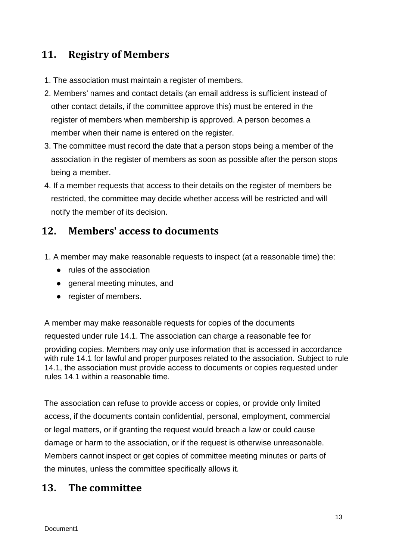## <span id="page-12-0"></span>**11. Registry of Members**

- 1. The association must maintain a register of members.
- 2. Members' names and contact details (an email address is sufficient instead of other contact details, if the committee approve this) must be entered in the register of members when membership is approved. A person becomes a member when their name is entered on the register.
- 3. The committee must record the date that a person stops being a member of the association in the register of members as soon as possible after the person stops being a member.
- 4. If a member requests that access to their details on the register of members be restricted, the committee may decide whether access will be restricted and will notify the member of its decision.

## <span id="page-12-1"></span>**12. Members' access to documents**

- 1. A member may make reasonable requests to inspect (at a reasonable time) the:
	- rules of the association
	- general meeting minutes, and
	- register of members.

A member may make reasonable requests for copies of the documents requested under rule 14.1. The association can charge a reasonable fee for providing copies. Members may only use information that is accessed in accordance with rule 14.1 for lawful and proper purposes related to the association. Subject to rule 14.1, the association must provide access to documents or copies requested under rules 14.1 within a reasonable time.

The association can refuse to provide access or copies, or provide only limited access, if the documents contain confidential, personal, employment, commercial or legal matters, or if granting the request would breach a law or could cause damage or harm to the association, or if the request is otherwise unreasonable. Members cannot inspect or get copies of committee meeting minutes or parts of the minutes, unless the committee specifically allows it.

### <span id="page-12-2"></span>**13. The committee**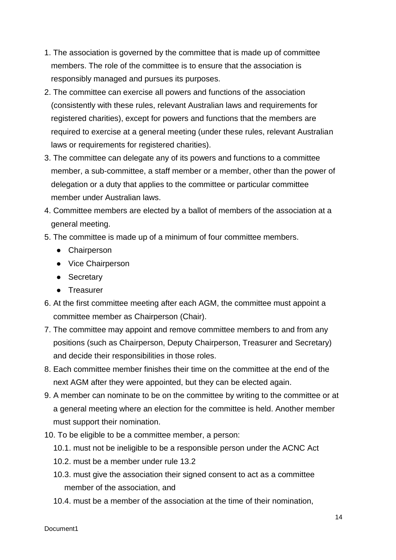- 1. The association is governed by the committee that is made up of committee members. The role of the committee is to ensure that the association is responsibly managed and pursues its purposes.
- 2. The committee can exercise all powers and functions of the association (consistently with these rules, relevant Australian laws and requirements for registered charities), except for powers and functions that the members are required to exercise at a general meeting (under these rules, relevant Australian laws or requirements for registered charities).
- 3. The committee can delegate any of its powers and functions to a committee member, a sub-committee, a staff member or a member, other than the power of delegation or a duty that applies to the committee or particular committee member under Australian laws.
- 4. Committee members are elected by a ballot of members of the association at a general meeting.
- 5. The committee is made up of a minimum of four committee members.
	- Chairperson
	- Vice Chairperson
	- Secretary
	- Treasurer
- 6. At the first committee meeting after each AGM, the committee must appoint a committee member as Chairperson (Chair).
- 7. The committee may appoint and remove committee members to and from any positions (such as Chairperson, Deputy Chairperson, Treasurer and Secretary) and decide their responsibilities in those roles.
- 8. Each committee member finishes their time on the committee at the end of the next AGM after they were appointed, but they can be elected again.
- 9. A member can nominate to be on the committee by writing to the committee or at a general meeting where an election for the committee is held. Another member must support their nomination.
- 10. To be eligible to be a committee member, a person:
	- 10.1. must not be ineligible to be a responsible person under the ACNC Act
	- 10.2. must be a member under rule 13.2
	- 10.3. must give the association their signed consent to act as a committee member of the association, and
	- 10.4. must be a member of the association at the time of their nomination,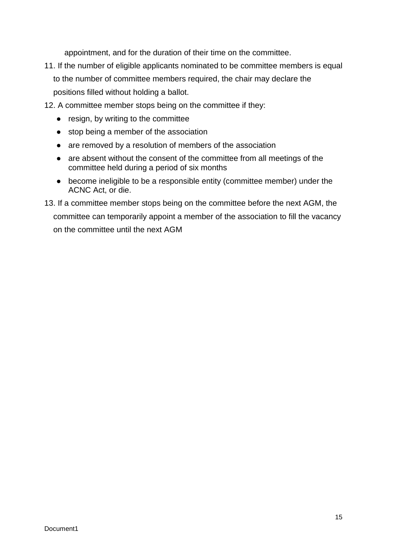appointment, and for the duration of their time on the committee.

- 11. If the number of eligible applicants nominated to be committee members is equal to the number of committee members required, the chair may declare the positions filled without holding a ballot.
- 12. A committee member stops being on the committee if they:
	- resign, by writing to the committee
	- stop being a member of the association
	- are removed by a resolution of members of the association
	- are absent without the consent of the committee from all meetings of the committee held during a period of six months
	- become ineligible to be a responsible entity (committee member) under the ACNC Act, or die.
- 13. If a committee member stops being on the committee before the next AGM, the committee can temporarily appoint a member of the association to fill the vacancy on the committee until the next AGM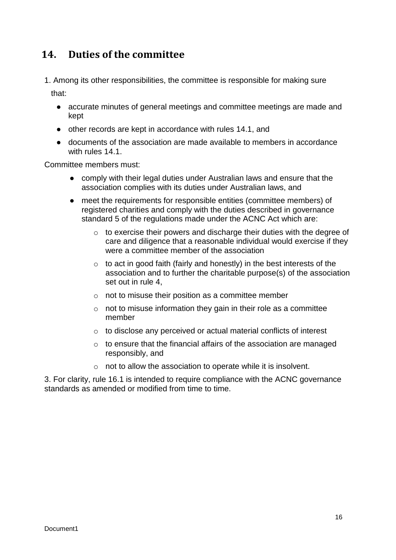## <span id="page-15-0"></span>**14. Duties of the committee**

1. Among its other responsibilities, the committee is responsible for making sure

that:

- accurate minutes of general meetings and committee meetings are made and kept
- other records are kept in accordance with rules 14.1, and
- documents of the association are made available to members in accordance with rules 14.1

Committee members must:

- comply with their legal duties under Australian laws and ensure that the association complies with its duties under Australian laws, and
- meet the requirements for responsible entities (committee members) of registered charities and comply with the duties described in governance standard 5 of the regulations made under the ACNC Act which are:
	- o to exercise their powers and discharge their duties with the degree of care and diligence that a reasonable individual would exercise if they were a committee member of the association
	- $\circ$  to act in good faith (fairly and honestly) in the best interests of the association and to further the charitable purpose(s) of the association set out in rule 4,
	- $\circ$  not to misuse their position as a committee member
	- o not to misuse information they gain in their role as a committee member
	- o to disclose any perceived or actual material conflicts of interest
	- o to ensure that the financial affairs of the association are managed responsibly, and
	- o not to allow the association to operate while it is insolvent.

3. For clarity, rule 16.1 is intended to require compliance with the ACNC governance standards as amended or modified from time to time.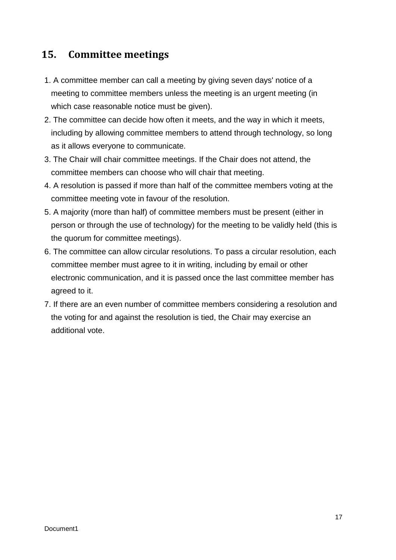## <span id="page-16-0"></span>**15. Committee meetings**

- 1. A committee member can call a meeting by giving seven days' notice of a meeting to committee members unless the meeting is an urgent meeting (in which case reasonable notice must be given).
- 2. The committee can decide how often it meets, and the way in which it meets, including by allowing committee members to attend through technology, so long as it allows everyone to communicate.
- 3. The Chair will chair committee meetings. If the Chair does not attend, the committee members can choose who will chair that meeting.
- 4. A resolution is passed if more than half of the committee members voting at the committee meeting vote in favour of the resolution.
- 5. A majority (more than half) of committee members must be present (either in person or through the use of technology) for the meeting to be validly held (this is the quorum for committee meetings).
- 6. The committee can allow circular resolutions. To pass a circular resolution, each committee member must agree to it in writing, including by email or other electronic communication, and it is passed once the last committee member has agreed to it.
- 7. If there are an even number of committee members considering a resolution and the voting for and against the resolution is tied, the Chair may exercise an additional vote.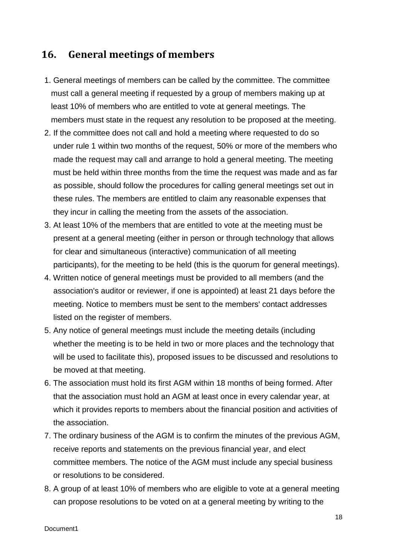### <span id="page-17-0"></span>**16. General meetings of members**

- 1. General meetings of members can be called by the committee. The committee must call a general meeting if requested by a group of members making up at least 10% of members who are entitled to vote at general meetings. The members must state in the request any resolution to be proposed at the meeting.
- 2. If the committee does not call and hold a meeting where requested to do so under rule 1 within two months of the request, 50% or more of the members who made the request may call and arrange to hold a general meeting. The meeting must be held within three months from the time the request was made and as far as possible, should follow the procedures for calling general meetings set out in these rules. The members are entitled to claim any reasonable expenses that they incur in calling the meeting from the assets of the association.
- 3. At least 10% of the members that are entitled to vote at the meeting must be present at a general meeting (either in person or through technology that allows for clear and simultaneous (interactive) communication of all meeting participants), for the meeting to be held (this is the quorum for general meetings).
- 4. Written notice of general meetings must be provided to all members (and the association's auditor or reviewer, if one is appointed) at least 21 days before the meeting. Notice to members must be sent to the members' contact addresses listed on the register of members.
- 5. Any notice of general meetings must include the meeting details (including whether the meeting is to be held in two or more places and the technology that will be used to facilitate this), proposed issues to be discussed and resolutions to be moved at that meeting.
- 6. The association must hold its first AGM within 18 months of being formed. After that the association must hold an AGM at least once in every calendar year, at which it provides reports to members about the financial position and activities of the association.
- 7. The ordinary business of the AGM is to confirm the minutes of the previous AGM, receive reports and statements on the previous financial year, and elect committee members. The notice of the AGM must include any special business or resolutions to be considered.
- 8. A group of at least 10% of members who are eligible to vote at a general meeting can propose resolutions to be voted on at a general meeting by writing to the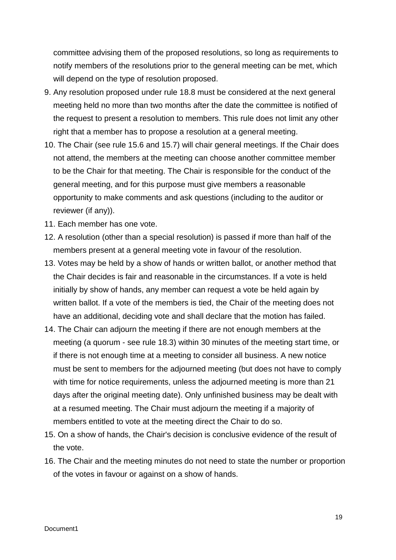committee advising them of the proposed resolutions, so long as requirements to notify members of the resolutions prior to the general meeting can be met, which will depend on the type of resolution proposed.

- 9. Any resolution proposed under rule 18.8 must be considered at the next general meeting held no more than two months after the date the committee is notified of the request to present a resolution to members. This rule does not limit any other right that a member has to propose a resolution at a general meeting.
- 10. The Chair (see rule 15.6 and 15.7) will chair general meetings. If the Chair does not attend, the members at the meeting can choose another committee member to be the Chair for that meeting. The Chair is responsible for the conduct of the general meeting, and for this purpose must give members a reasonable opportunity to make comments and ask questions (including to the auditor or reviewer (if any)).
- 11. Each member has one vote.
- 12. A resolution (other than a special resolution) is passed if more than half of the members present at a general meeting vote in favour of the resolution.
- 13. Votes may be held by a show of hands or written ballot, or another method that the Chair decides is fair and reasonable in the circumstances. If a vote is held initially by show of hands, any member can request a vote be held again by written ballot. If a vote of the members is tied, the Chair of the meeting does not have an additional, deciding vote and shall declare that the motion has failed.
- 14. The Chair can adjourn the meeting if there are not enough members at the meeting (a quorum - see rule 18.3) within 30 minutes of the meeting start time, or if there is not enough time at a meeting to consider all business. A new notice must be sent to members for the adjourned meeting (but does not have to comply with time for notice requirements, unless the adjourned meeting is more than 21 days after the original meeting date). Only unfinished business may be dealt with at a resumed meeting. The Chair must adjourn the meeting if a majority of members entitled to vote at the meeting direct the Chair to do so.
- 15. On a show of hands, the Chair's decision is conclusive evidence of the result of the vote.
- 16. The Chair and the meeting minutes do not need to state the number or proportion of the votes in favour or against on a show of hands.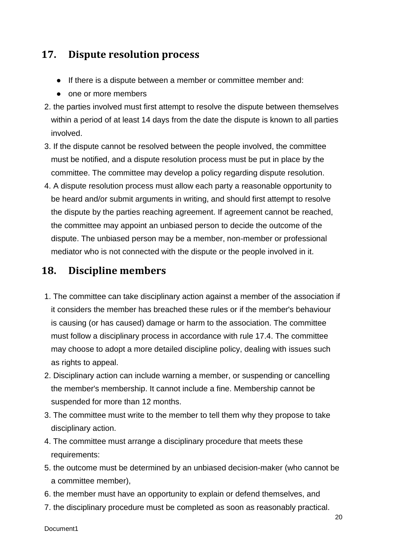## <span id="page-19-0"></span>**17. Dispute resolution process**

- If there is a dispute between a member or committee member and:
- one or more members
- 2. the parties involved must first attempt to resolve the dispute between themselves within a period of at least 14 days from the date the dispute is known to all parties involved.
- 3. If the dispute cannot be resolved between the people involved, the committee must be notified, and a dispute resolution process must be put in place by the committee. The committee may develop a policy regarding dispute resolution.
- 4. A dispute resolution process must allow each party a reasonable opportunity to be heard and/or submit arguments in writing, and should first attempt to resolve the dispute by the parties reaching agreement. If agreement cannot be reached, the committee may appoint an unbiased person to decide the outcome of the dispute. The unbiased person may be a member, non-member or professional mediator who is not connected with the dispute or the people involved in it.

### <span id="page-19-1"></span>**18. Discipline members**

- 1. The committee can take disciplinary action against a member of the association if it considers the member has breached these rules or if the member's behaviour is causing (or has caused) damage or harm to the association. The committee must follow a disciplinary process in accordance with rule 17.4. The committee may choose to adopt a more detailed discipline policy, dealing with issues such as rights to appeal.
- 2. Disciplinary action can include warning a member, or suspending or cancelling the member's membership. It cannot include a fine. Membership cannot be suspended for more than 12 months.
- 3. The committee must write to the member to tell them why they propose to take disciplinary action.
- 4. The committee must arrange a disciplinary procedure that meets these requirements:
- 5. the outcome must be determined by an unbiased decision-maker (who cannot be a committee member),
- 6. the member must have an opportunity to explain or defend themselves, and
- 7. the disciplinary procedure must be completed as soon as reasonably practical.

Document1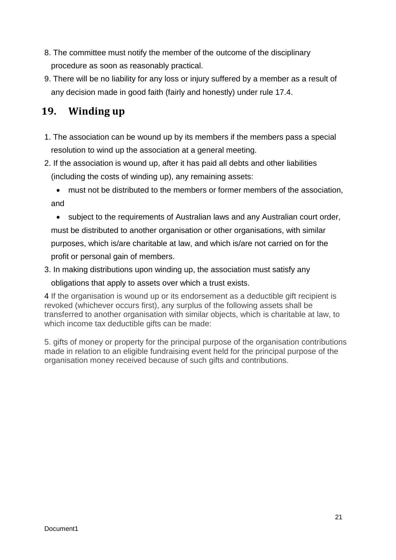- 8. The committee must notify the member of the outcome of the disciplinary procedure as soon as reasonably practical.
- 9. There will be no liability for any loss or injury suffered by a member as a result of any decision made in good faith (fairly and honestly) under rule 17.4.

# <span id="page-20-0"></span>**19. Winding up**

- 1. The association can be wound up by its members if the members pass a special resolution to wind up the association at a general meeting.
- 2. If the association is wound up, after it has paid all debts and other liabilities (including the costs of winding up), any remaining assets:

- subject to the requirements of Australian laws and any Australian court order, must be distributed to another organisation or other organisations, with similar purposes, which is/are charitable at law, and which is/are not carried on for the profit or personal gain of members.
- 3. In making distributions upon winding up, the association must satisfy any obligations that apply to assets over which a trust exists.

4 If the organisation is wound up or its endorsement as a deductible gift recipient is revoked (whichever occurs first), any surplus of the following assets shall be transferred to another organisation with similar objects, which is charitable at law, to which income tax deductible gifts can be made:

5. gifts of money or property for the principal purpose of the organisation contributions made in relation to an eligible fundraising event held for the principal purpose of the organisation money received because of such gifts and contributions.

<sup>•</sup> must not be distributed to the members or former members of the association, and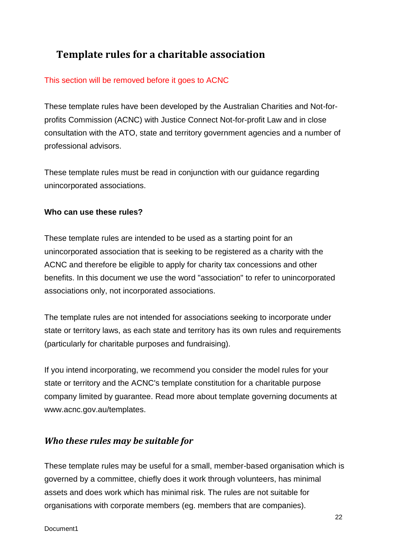# <span id="page-21-0"></span>**Template rules for a charitable association**

#### This section will be removed before it goes to ACNC

These template rules have been developed by the Australian Charities and Not-forprofits Commission (ACNC) with Justice Connect Not-for-profit Law and in close consultation with the ATO, state and territory government agencies and a number of professional advisors.

These template rules must be read in conjunction with our guidance regarding unincorporated associations.

#### **Who can use these rules?**

These template rules are intended to be used as a starting point for an unincorporated association that is seeking to be registered as a charity with the ACNC and therefore be eligible to apply for charity tax concessions and other benefits. In this document we use the word "association" to refer to unincorporated associations only, not incorporated associations.

The template rules are not intended for associations seeking to incorporate under state or territory laws, as each state and territory has its own rules and requirements (particularly for charitable purposes and fundraising).

If you intend incorporating, we recommend you consider the model rules for your state or territory and the ACNC's template constitution for a charitable purpose company limited by guarantee. Read more about template governing documents at www.acnc.gov.au/templates.

### <span id="page-21-1"></span>*Who these rules may be suitable for*

These template rules may be useful for a small, member-based organisation which is governed by a committee, chiefly does it work through volunteers, has minimal assets and does work which has minimal risk. The rules are not suitable for organisations with corporate members (eg. members that are companies).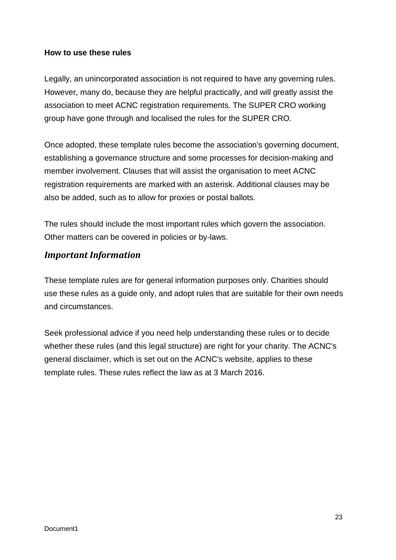#### **How to use these rules**

Legally, an unincorporated association is not required to have any governing rules. However, many do, because they are helpful practically, and will greatly assist the association to meet ACNC registration requirements. The SUPER CRO working group have gone through and localised the rules for the SUPER CRO.

Once adopted, these template rules become the association's governing document, establishing a governance structure and some processes for decision-making and member involvement. Clauses that will assist the organisation to meet ACNC registration requirements are marked with an asterisk. Additional clauses may be also be added, such as to allow for proxies or postal ballots.

The rules should include the most important rules which govern the association. Other matters can be covered in policies or by-laws.

#### <span id="page-22-0"></span>*Important Information*

These template rules are for general information purposes only. Charities should use these rules as a guide only, and adopt rules that are suitable for their own needs and circumstances.

Seek professional advice if you need help understanding these rules or to decide whether these rules (and this legal structure) are right for your charity. The ACNC's general disclaimer, which is set out on the ACNC's website, applies to these template rules. These rules reflect the law as at 3 March 2016.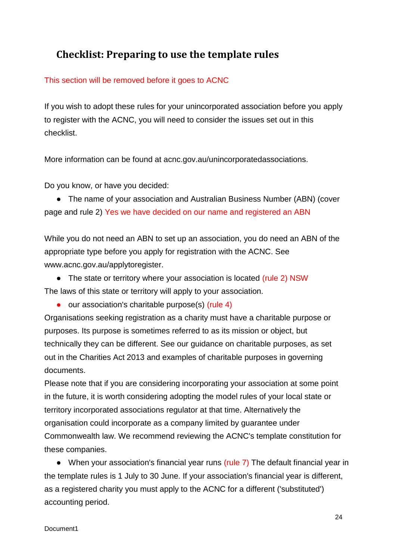# <span id="page-23-0"></span>**Checklist: Preparing to use the template rules**

#### This section will be removed before it goes to ACNC

If you wish to adopt these rules for your unincorporated association before you apply to register with the ACNC, you will need to consider the issues set out in this checklist.

More information can be found at acnc.gov.au/unincorporatedassociations.

Do you know, or have you decided:

• The name of your association and Australian Business Number (ABN) (cover page and rule 2) Yes we have decided on our name and registered an ABN

While you do not need an ABN to set up an association, you do need an ABN of the appropriate type before you apply for registration with the ACNC. See www.acnc.gov.au/applytoregister.

• The state or territory where your association is located (rule 2) NSW

The laws of this state or territory will apply to your association.

● our association's charitable purpose(s) (rule 4)

Organisations seeking registration as a charity must have a charitable purpose or purposes. Its purpose is sometimes referred to as its mission or object, but technically they can be different. See our guidance on charitable purposes, as set out in the Charities Act 2013 and examples of charitable purposes in governing documents.

Please note that if you are considering incorporating your association at some point in the future, it is worth considering adopting the model rules of your local state or territory incorporated associations regulator at that time. Alternatively the organisation could incorporate as a company limited by guarantee under Commonwealth law. We recommend reviewing the ACNC's template constitution for these companies.

• When your association's financial year runs (rule 7) The default financial year in the template rules is 1 July to 30 June. If your association's financial year is different, as a registered charity you must apply to the ACNC for a different ('substituted') accounting period.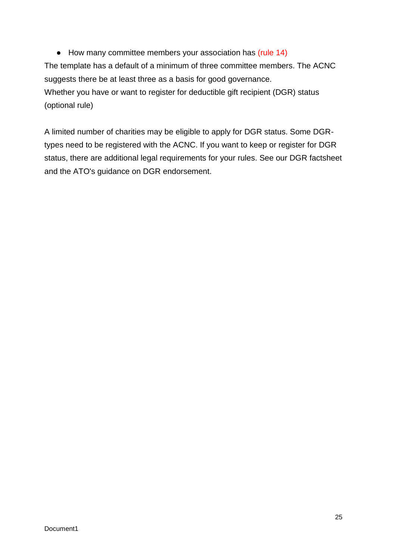● How many committee members your association has (rule 14) The template has a default of a minimum of three committee members. The ACNC suggests there be at least three as a basis for good governance. Whether you have or want to register for deductible gift recipient (DGR) status (optional rule)

A limited number of charities may be eligible to apply for DGR status. Some DGRtypes need to be registered with the ACNC. If you want to keep or register for DGR status, there are additional legal requirements for your rules. See our DGR factsheet and the ATO's guidance on DGR endorsement.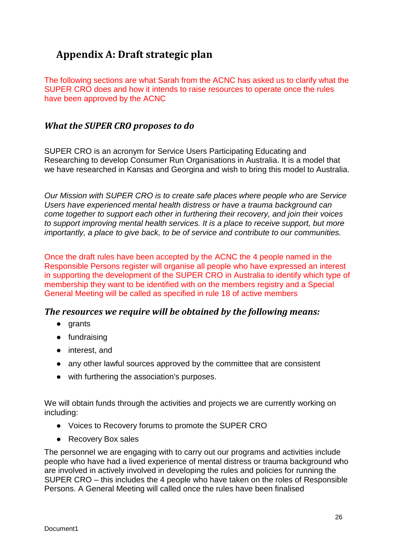# <span id="page-25-0"></span>**Appendix A: Draft strategic plan**

The following sections are what Sarah from the ACNC has asked us to clarify what the SUPER CRO does and how it intends to raise resources to operate once the rules have been approved by the ACNC

#### <span id="page-25-1"></span>*What the SUPER CRO proposes to do*

SUPER CRO is an acronym for Service Users Participating Educating and Researching to develop Consumer Run Organisations in Australia. It is a model that we have researched in Kansas and Georgina and wish to bring this model to Australia.

*Our Mission with SUPER CRO is to create safe places where people who are Service Users have experienced mental health distress or have a trauma background can come together to support each other in furthering their recovery, and join their voices to support improving mental health services. It is a place to receive support, but more importantly, a place to give back, to be of service and contribute to our communities.*

Once the draft rules have been accepted by the ACNC the 4 people named in the Responsible Persons register will organise all people who have expressed an interest in supporting the development of the SUPER CRO in Australia to identify which type of membership they want to be identified with on the members registry and a Special General Meeting will be called as specified in rule 18 of active members

#### <span id="page-25-2"></span>*The resources we require will be obtained by the following means:*

- grants
- fundraising
- interest, and
- any other lawful sources approved by the committee that are consistent
- with furthering the association's purposes.

We will obtain funds through the activities and projects we are currently working on including:

- Voices to Recovery forums to promote the SUPER CRO
- Recovery Box sales

The personnel we are engaging with to carry out our programs and activities include people who have had a lived experience of mental distress or trauma background who are involved in actively involved in developing the rules and policies for running the SUPER CRO – this includes the 4 people who have taken on the roles of Responsible Persons. A General Meeting will called once the rules have been finalised